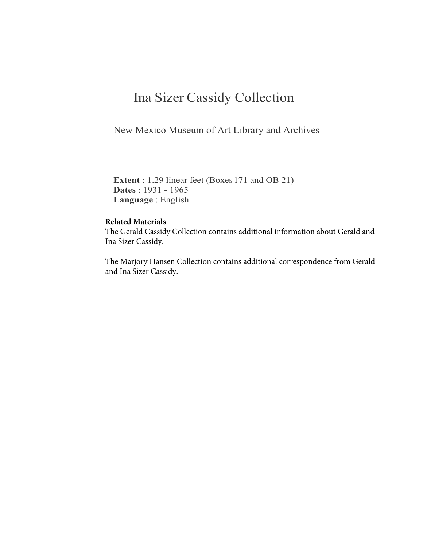### Ina Sizer Cassidy Collection

New Mexico Museum of Art Library and Archives

**Extent** : 1.29 linear feet (Boxes 171 and OB 21) **Dates** : 1931 - 1965 **Language** : English

#### **Related Materials**

The Gerald Cassidy Collection contains additional information about Gerald and Ina Sizer Cassidy.

The Marjory Hansen Collection contains additional correspondence from Gerald and Ina Sizer Cassidy.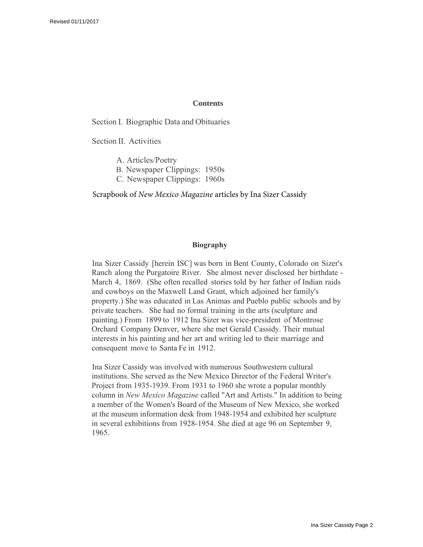#### **Contents**

Section I. Biographic Data and Obituaries

Section II. Activities

A. Articles/Poetry B. Newspaper Clippings: 1950s C. Newspaper Clippings: 1960s

Scrapbook of *New Mexico Magazine* articles by Ina Sizer Cassidy

#### **Biography**

Ina Sizer Cassidy [herein ISC] was born in Bent County, Colorado on Sizer's Ranch along the Purgatoire River. She almost never disclosed her birthdate - March 4, 1869. (She often recalled stories told by her father of Indian raids and cowboys on the Maxwell Land Grant, which adjoined her family's property.) She was educated in Las Animas and Pueblo public schools and by private teachers. She had no formal training in the arts (sculpture and painting.) From 1899 to 1912 Ina Sizer was vice-president of Montrose Orchard Company Denver, where she met Gerald Cassidy. Their mutual interests in his painting and her art and writing led to their marriage and consequent move to Santa Fe in 1912.

Ina Sizer Cassidy was involved with numerous Southwestern cultural institutions. She served as the New Mexico Director of the Federal Writer's Project from 1935-1939. From 1931 to 1960 she wrote a popular monthly column in *New Mexico Magazine* called "Art and Artists." In addition to being a member of the Women's Board of the Museum of New Mexico, she worked at the museum information desk from 1948-1954 and exhibited her sculpture in several exhibitions from 1928-1954. She died at age 96 on September 9, 1965.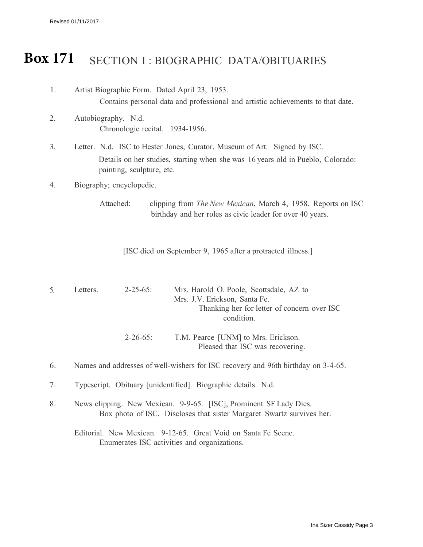Revised 01/11/2017

# Box 171 SECTION I: BIOGRAPHIC DATA/OBITUARIES

| 1.                             | Artist Biographic Form. Dated April 23, 1953.<br>Contains personal data and professional and artistic achievements to that date.                                                         |  |  |
|--------------------------------|------------------------------------------------------------------------------------------------------------------------------------------------------------------------------------------|--|--|
| 2.                             | Autobiography. N.d.<br>Chronologic recital. 1934-1956.                                                                                                                                   |  |  |
| 3.                             | Letter. N.d. ISC to Hester Jones, Curator, Museum of Art. Signed by ISC.<br>Details on her studies, starting when she was 16 years old in Pueblo, Colorado:<br>painting, sculpture, etc. |  |  |
| Biography; encyclopedic.<br>4. |                                                                                                                                                                                          |  |  |
|                                | Attached:<br>clipping from <i>The New Mexican</i> , March 4, 1958. Reports on ISC<br>birthday and her roles as civic leader for over 40 years.                                           |  |  |
|                                | [ISC died on September 9, 1965 after a protracted illness.]                                                                                                                              |  |  |
| 5.                             | Letters.<br>$2 - 25 - 65$ :<br>Mrs. Harold O. Poole, Scottsdale, AZ to<br>Mrs. J.V. Erickson, Santa Fe.<br>Thanking her for letter of concern over ISC<br>condition.                     |  |  |
|                                | $2 - 26 - 65$ :<br>T.M. Pearce [UNM] to Mrs. Erickson.<br>Pleased that ISC was recovering.                                                                                               |  |  |
| 6.                             | Names and addresses of well-wishers for ISC recovery and 96th birthday on 3-4-65.                                                                                                        |  |  |
| 7.                             | Typescript. Obituary [unidentified]. Biographic details. N.d.                                                                                                                            |  |  |
| 8.                             | News clipping. New Mexican. 9-9-65. [ISC], Prominent SF Lady Dies.<br>Box photo of ISC. Discloses that sister Margaret Swartz survives her.                                              |  |  |
|                                | Editorial. New Mexican. 9-12-65. Great Void on Santa Fe Scene.<br>Enumerates ISC activities and organizations.                                                                           |  |  |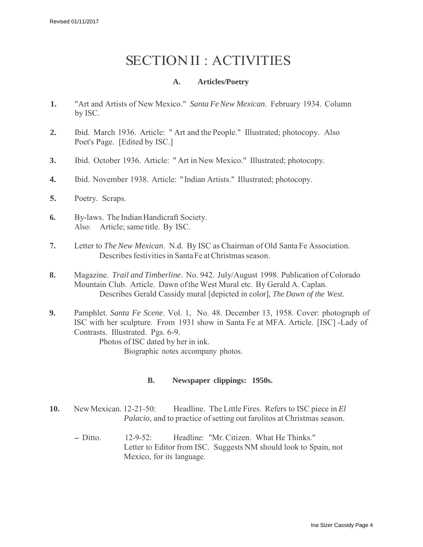# SECTION II : ACTIVITIES

### **A. Articles/Poetry**

- **1.** "Art and Artists of New Mexico." *Santa Fe New Mexican*. February 1934. Column by ISC.
- **2.** Ibid. March 1936. Article: " Art and the People." Illustrated; photocopy. Also Poet's Page. [Edited by ISC.]
- **3.** Ibid. October 1936. Article: " Art in New Mexico." Illustrated; photocopy.
- **4.** Ibid. November 1938. Article: "Indian Artists." Illustrated; photocopy.
- **5.** Poetry. Scraps.
- **6.** By-laws. The Indian Handicraft Society. Also: Article; same title. By ISC.
- **7.** Letter to *The New Mexican*. N.d. By ISC as Chairman of Old Santa Fe Association. Describes festivities in Santa Fe at Christmas season.
- **8.** Magazine. *Trail and Timberline*. No. 942. July/August 1998. Publication of Colorado Mountain Club. Article. Dawn of the West Mural etc. By Gerald A. Caplan. Describes Gerald Cassidy mural [depicted in color], *The Dawn of the West.*
- **9.** Pamphlet. *Santa Fe Scene*. Vol. 1, No. 48. December 13, 1958. Cover: photograph of ISC with her sculpture. From 1931 show in Santa Fe at MFA. Article. [ISC] -Lady of Contrasts. Illustrated. Pgs. 6-9. Photos of ISC dated by her in ink.

Biographic notes accompany photos.

#### **B. Newspaper clippings: 1950s.**

- **10.** New Mexican. 12-21-50: Headline. The Little Fires. Refers to ISC piece in *El Palacio*, and to practice of setting out farolitos at Christmas season.
	- Ditto. 12-9-52: Headline: "Mr. Citizen. What He Thinks." Letter to Editor from ISC. Suggests NM should look to Spain, not Mexico, for its language.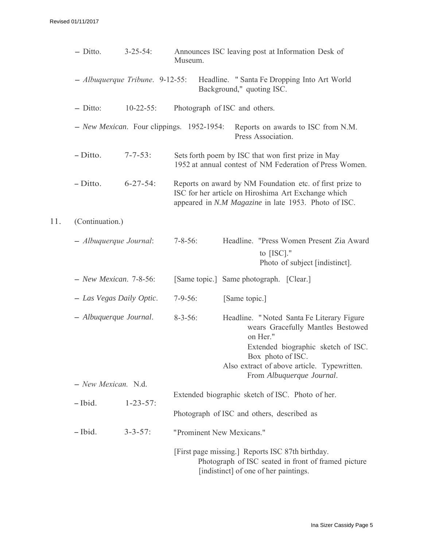$11.$ 

| $-$ Ditto.                        | $3 - 25 - 54$ :  | Announces ISC leaving post at Information Desk of<br>Museum.                                                                                                                                                                                        |  |  |
|-----------------------------------|------------------|-----------------------------------------------------------------------------------------------------------------------------------------------------------------------------------------------------------------------------------------------------|--|--|
| $-$ Albuquerque Tribune. 9-12-55: |                  | Headline. "Santa Fe Dropping Into Art World<br>Background," quoting ISC.                                                                                                                                                                            |  |  |
| $-$ Ditto:                        | $10 - 22 - 55$ : | Photograph of ISC and others.                                                                                                                                                                                                                       |  |  |
|                                   |                  | - New Mexican. Four clippings. 1952-1954:<br>Reports on awards to ISC from N.M.<br>Press Association.                                                                                                                                               |  |  |
| $-Ditto.$                         | $7 - 7 - 53$ :   | Sets forth poem by ISC that won first prize in May<br>1952 at annual contest of NM Federation of Press Women.                                                                                                                                       |  |  |
| $-Ditto.$                         | $6 - 27 - 54$ :  | Reports on award by NM Foundation etc. of first prize to<br>ISC for her article on Hiroshima Art Exchange which<br>appeared in N.M Magazine in late 1953. Photo of ISC.                                                                             |  |  |
| (Continuation.)                   |                  |                                                                                                                                                                                                                                                     |  |  |
| $-$ Albuquerque Journal:          |                  | Headline. "Press Women Present Zia Award<br>$7 - 8 - 56$ :<br>to $[ISC]$ ."<br>Photo of subject [indistinct].                                                                                                                                       |  |  |
| $-$ New Mexican. 7-8-56:          |                  | [Same topic.] Same photograph. [Clear.]                                                                                                                                                                                                             |  |  |
| - Las Vegas Daily Optic.          |                  | $7 - 9 - 56$ :<br>[Same topic.]                                                                                                                                                                                                                     |  |  |
| - Albuquerque Journal.            |                  | $8 - 3 - 56$ :<br>Headline. "Noted Santa Fe Literary Figure<br>wears Gracefully Mantles Bestowed<br>on Her."<br>Extended biographic sketch of ISC.<br>Box photo of ISC.<br>Also extract of above article. Typewritten.<br>From Albuquerque Journal. |  |  |
| $-$ New Mexican. N.d.             |                  |                                                                                                                                                                                                                                                     |  |  |
| $-$ Ibid.                         | $1 - 23 - 57$ :  | Extended biographic sketch of ISC. Photo of her.                                                                                                                                                                                                    |  |  |
|                                   |                  | Photograph of ISC and others, described as                                                                                                                                                                                                          |  |  |
| $-$ Ibid.                         | $3 - 3 - 57$ :   | "Prominent New Mexicans."                                                                                                                                                                                                                           |  |  |
|                                   |                  | [First page missing.] Reports ISC 87th birthday.<br>Photograph of ISC seated in front of framed picture<br>[indistinct] of one of her paintings.                                                                                                    |  |  |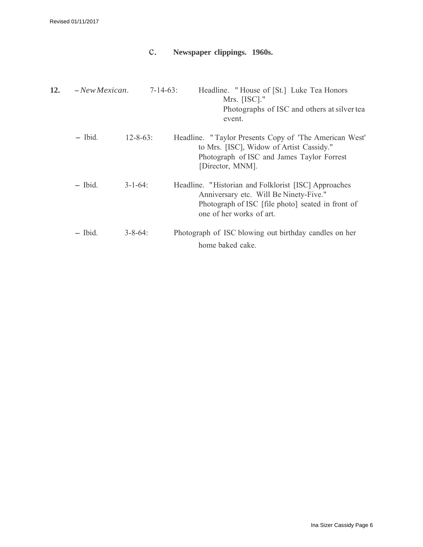### c. **Newspaper clippings. 1960s.**

| 12. | $-$ New Mexican. | $7 - 14 - 63$ : | Headline. "House of [St.] Luke Tea Honors<br>Mrs. $[ISC]$ ."<br>Photographs of ISC and others at silver tea<br>event.                                                           |
|-----|------------------|-----------------|---------------------------------------------------------------------------------------------------------------------------------------------------------------------------------|
|     | $-$ Ibid.        | $12 - 8 - 63$ : | Headline. "Taylor Presents Copy of 'The American West'<br>to Mrs. [ISC], Widow of Artist Cassidy."<br>Photograph of ISC and James Taylor Forrest<br>[Director, MNM].            |
|     | $-$ Ibid.        | $3 - 1 - 64$ :  | Headline. "Historian and Folklorist [ISC] Approaches<br>Anniversary etc. Will Be Ninety-Five."<br>Photograph of ISC [file photo] seated in front of<br>one of her works of art. |
|     | - Ibid.          | $3 - 8 - 64$ :  | Photograph of ISC blowing out birthday candles on her<br>home baked cake.                                                                                                       |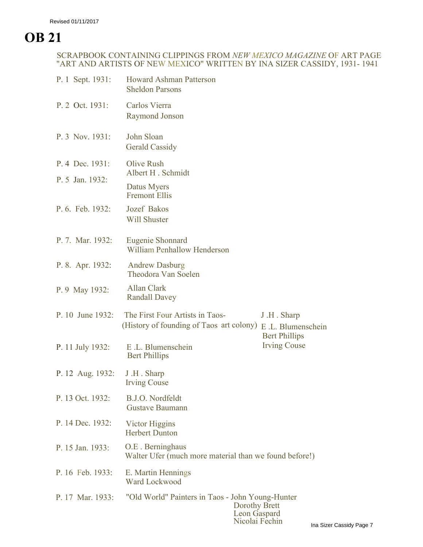# **OB 21**

### SCRAPBOOK CONTAINING CLIPPINGS FROM *NEW MEXICO MAGAZINE* OF ART PAGE "ART AND ARTISTS OF NEW MEXICO" WRITTEN BY INA SIZER CASSIDY, 1931- 1941

| P. 1 Sept. 1931: | <b>Howard Ashman Patterson</b><br><b>Sheldon Parsons</b>                          |                                                                                |           |  |  |
|------------------|-----------------------------------------------------------------------------------|--------------------------------------------------------------------------------|-----------|--|--|
| P. 2 Oct. 1931:  | Carlos Vierra<br>Raymond Jonson                                                   |                                                                                |           |  |  |
| P. 3 Nov. 1931:  | John Sloan<br><b>Gerald Cassidy</b>                                               |                                                                                |           |  |  |
| P. 4 Dec. 1931:  | Olive Rush<br>Albert H. Schmidt                                                   |                                                                                |           |  |  |
| P. 5 Jan. 1932:  | Datus Myers<br><b>Fremont Ellis</b>                                               |                                                                                |           |  |  |
| P. 6. Feb. 1932: | Jozef Bakos<br><b>Will Shuster</b>                                                |                                                                                |           |  |  |
| P. 7. Mar. 1932: | Eugenie Shonnard<br>William Penhallow Henderson                                   |                                                                                |           |  |  |
| P. 8. Apr. 1932: | <b>Andrew Dasburg</b><br>Theodora Van Soelen                                      |                                                                                |           |  |  |
| P. 9 May 1932:   | Allan Clark<br><b>Randall Davey</b>                                               |                                                                                |           |  |  |
| P. 10 June 1932: | The First Four Artists in Taos-<br>(History of founding of Taos art colony)       | J.H. Sharp<br>E.L. Blumenschein<br><b>Bert Phillips</b><br><b>Irving Couse</b> |           |  |  |
| P. 11 July 1932: | E.L. Blumenschein<br><b>Bert Phillips</b>                                         |                                                                                |           |  |  |
| P. 12 Aug. 1932: | J.H. Sharp<br><b>Irving Couse</b>                                                 |                                                                                |           |  |  |
| P. 13 Oct. 1932: | B.J.O. Nordfeldt<br><b>Gustave Baumann</b>                                        |                                                                                |           |  |  |
| P. 14 Dec. 1932: | Victor Higgins<br><b>Herbert Dunton</b>                                           |                                                                                |           |  |  |
| P. 15 Jan. 1933: | O.E. Berninghaus<br>Walter Ufer (much more material than we found before!)        |                                                                                |           |  |  |
| P. 16 Feb. 1933: | E. Martin Hennings<br>Ward Lockwood                                               |                                                                                |           |  |  |
| P. 17 Mar. 1933: | "Old World" Painters in Taos - John Young-Hunter<br>Dorothy Brett<br>Leon Gaspard | Nicolai Fechin                                                                 | Ina Sizer |  |  |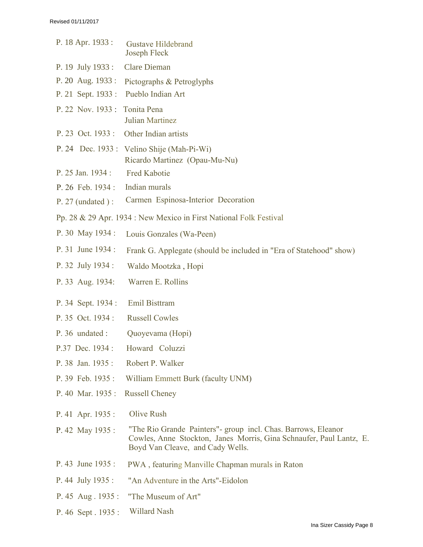| P. 18 Apr. 1933:   | <b>Gustave Hildebrand</b><br>Joseph Fleck                                                                                                                                 |
|--------------------|---------------------------------------------------------------------------------------------------------------------------------------------------------------------------|
| P. 19 July 1933 :  | <b>Clare Dieman</b>                                                                                                                                                       |
| P. 20 Aug. 1933:   | Pictographs & Petroglyphs                                                                                                                                                 |
| P. 21 Sept. 1933 : | Pueblo Indian Art                                                                                                                                                         |
| P. 22 Nov. 1933:   | Tonita Pena                                                                                                                                                               |
|                    | Julian Martinez                                                                                                                                                           |
| P. 23 Oct. 1933 :  | Other Indian artists                                                                                                                                                      |
|                    | P. 24 Dec. 1933: Velino Shije (Mah-Pi-Wi)<br>Ricardo Martinez (Opau-Mu-Nu)                                                                                                |
| P. 25 Jan. 1934 :  | <b>Fred Kabotie</b>                                                                                                                                                       |
| P. 26 Feb. 1934 :  | Indian murals                                                                                                                                                             |
| $P. 27$ (undated): | Carmen Espinosa-Interior Decoration                                                                                                                                       |
|                    | Pp. 28 & 29 Apr. 1934 : New Mexico in First National Folk Festival                                                                                                        |
| P. 30 May 1934:    | Louis Gonzales (Wa-Peen)                                                                                                                                                  |
| P. 31 June 1934 :  | Frank G. Applegate (should be included in "Era of Statehood" show)                                                                                                        |
| P. 32 July 1934 :  | Waldo Mootzka, Hopi                                                                                                                                                       |
| P. 33 Aug. 1934:   | Warren E. Rollins                                                                                                                                                         |
| P. 34 Sept. 1934 : | Emil Bisttram                                                                                                                                                             |
| P. 35 Oct. 1934:   | <b>Russell Cowles</b>                                                                                                                                                     |
| P. 36 undated :    | Quoyevama (Hopi)                                                                                                                                                          |
| P.37 Dec. 1934 :   | Howard Coluzzi                                                                                                                                                            |
| P. 38 Jan. 1935 :  | Robert P. Walker                                                                                                                                                          |
| P. 39 Feb. 1935:   | William Emmett Burk (faculty UNM)                                                                                                                                         |
| P. 40 Mar. 1935:   | <b>Russell Cheney</b>                                                                                                                                                     |
| P. 41 Apr. 1935 :  | Olive Rush                                                                                                                                                                |
| P. 42 May 1935 :   | "The Rio Grande Painters" - group incl. Chas. Barrows, Eleanor<br>Cowles, Anne Stockton, Janes Morris, Gina Schnaufer, Paul Lantz, E.<br>Boyd Van Cleave, and Cady Wells. |
| P. 43 June 1935 :  | PWA, featuring Manville Chapman murals in Raton                                                                                                                           |
| P. 44 July 1935 :  | "An Adventure in the Arts"-Eidolon                                                                                                                                        |
| P. 45 Aug. 1935:   | "The Museum of Art"                                                                                                                                                       |
| P. 46 Sept. 1935:  | Willard Nash                                                                                                                                                              |